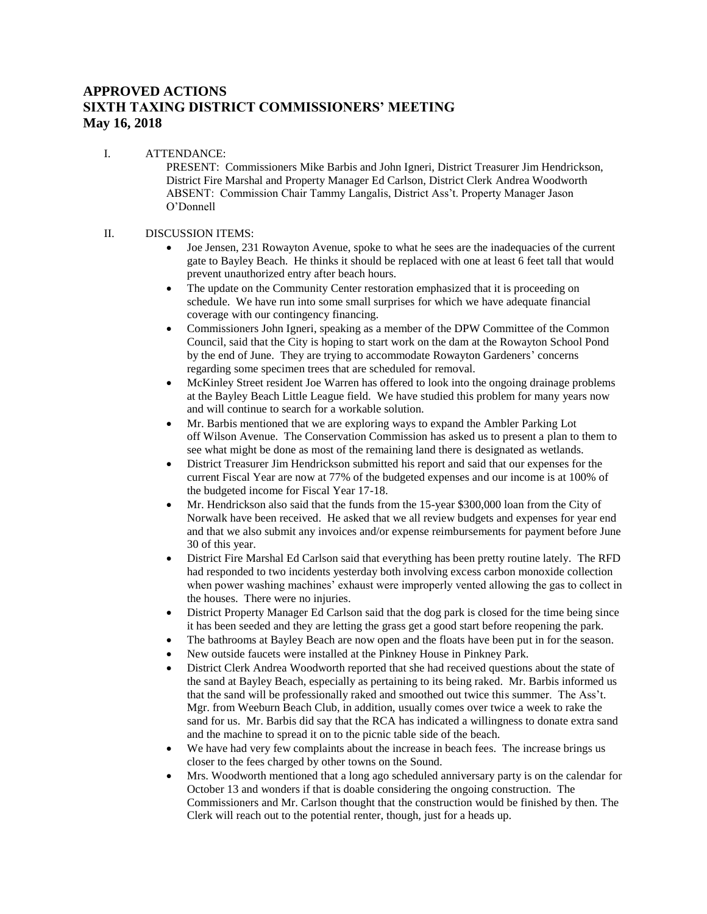## **APPROVED ACTIONS SIXTH TAXING DISTRICT COMMISSIONERS' MEETING May 16, 2018**

I. ATTENDANCE: PRESENT: Commissioners Mike Barbis and John Igneri, District Treasurer Jim Hendrickson, District Fire Marshal and Property Manager Ed Carlson, District Clerk Andrea Woodworth ABSENT: Commission Chair Tammy Langalis, District Ass't. Property Manager Jason O'Donnell

## II. DISCUSSION ITEMS:

- Joe Jensen, 231 Rowayton Avenue, spoke to what he sees are the inadequacies of the current gate to Bayley Beach. He thinks it should be replaced with one at least 6 feet tall that would prevent unauthorized entry after beach hours.
- The update on the Community Center restoration emphasized that it is proceeding on schedule. We have run into some small surprises for which we have adequate financial coverage with our contingency financing.
- Commissioners John Igneri, speaking as a member of the DPW Committee of the Common Council, said that the City is hoping to start work on the dam at the Rowayton School Pond by the end of June. They are trying to accommodate Rowayton Gardeners' concerns regarding some specimen trees that are scheduled for removal.
- McKinley Street resident Joe Warren has offered to look into the ongoing drainage problems at the Bayley Beach Little League field. We have studied this problem for many years now and will continue to search for a workable solution.
- Mr. Barbis mentioned that we are exploring ways to expand the Ambler Parking Lot off Wilson Avenue. The Conservation Commission has asked us to present a plan to them to see what might be done as most of the remaining land there is designated as wetlands.
- District Treasurer Jim Hendrickson submitted his report and said that our expenses for the current Fiscal Year are now at 77% of the budgeted expenses and our income is at 100% of the budgeted income for Fiscal Year 17-18.
- Mr. Hendrickson also said that the funds from the 15-year \$300,000 loan from the City of Norwalk have been received. He asked that we all review budgets and expenses for year end and that we also submit any invoices and/or expense reimbursements for payment before June 30 of this year.
- District Fire Marshal Ed Carlson said that everything has been pretty routine lately. The RFD had responded to two incidents yesterday both involving excess carbon monoxide collection when power washing machines' exhaust were improperly vented allowing the gas to collect in the houses. There were no injuries.
- District Property Manager Ed Carlson said that the dog park is closed for the time being since it has been seeded and they are letting the grass get a good start before reopening the park.
- The bathrooms at Bayley Beach are now open and the floats have been put in for the season.
- New outside faucets were installed at the Pinkney House in Pinkney Park.
- District Clerk Andrea Woodworth reported that she had received questions about the state of the sand at Bayley Beach, especially as pertaining to its being raked. Mr. Barbis informed us that the sand will be professionally raked and smoothed out twice this summer. The Ass't. Mgr. from Weeburn Beach Club, in addition, usually comes over twice a week to rake the sand for us. Mr. Barbis did say that the RCA has indicated a willingness to donate extra sand and the machine to spread it on to the picnic table side of the beach.
- We have had very few complaints about the increase in beach fees. The increase brings us closer to the fees charged by other towns on the Sound.
- Mrs. Woodworth mentioned that a long ago scheduled anniversary party is on the calendar for October 13 and wonders if that is doable considering the ongoing construction. The Commissioners and Mr. Carlson thought that the construction would be finished by then. The Clerk will reach out to the potential renter, though, just for a heads up.